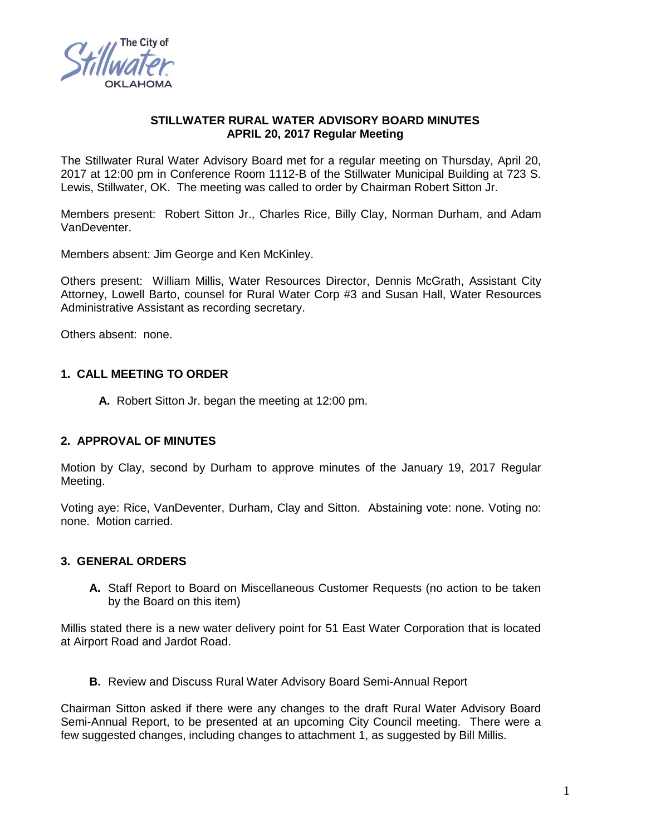

### **STILLWATER RURAL WATER ADVISORY BOARD MINUTES APRIL 20, 2017 Regular Meeting**

The Stillwater Rural Water Advisory Board met for a regular meeting on Thursday, April 20, 2017 at 12:00 pm in Conference Room 1112-B of the Stillwater Municipal Building at 723 S. Lewis, Stillwater, OK. The meeting was called to order by Chairman Robert Sitton Jr.

Members present: Robert Sitton Jr., Charles Rice, Billy Clay, Norman Durham, and Adam VanDeventer.

Members absent: Jim George and Ken McKinley.

Others present: William Millis, Water Resources Director, Dennis McGrath, Assistant City Attorney, Lowell Barto, counsel for Rural Water Corp #3 and Susan Hall, Water Resources Administrative Assistant as recording secretary.

Others absent: none.

## **1. CALL MEETING TO ORDER**

**A.** Robert Sitton Jr. began the meeting at 12:00 pm.

## **2. APPROVAL OF MINUTES**

Motion by Clay, second by Durham to approve minutes of the January 19, 2017 Regular Meeting.

Voting aye: Rice, VanDeventer, Durham, Clay and Sitton. Abstaining vote: none. Voting no: none. Motion carried.

## **3. GENERAL ORDERS**

**A.** Staff Report to Board on Miscellaneous Customer Requests (no action to be taken by the Board on this item)

Millis stated there is a new water delivery point for 51 East Water Corporation that is located at Airport Road and Jardot Road.

**B.** Review and Discuss Rural Water Advisory Board Semi-Annual Report

Chairman Sitton asked if there were any changes to the draft Rural Water Advisory Board Semi-Annual Report, to be presented at an upcoming City Council meeting. There were a few suggested changes, including changes to attachment 1, as suggested by Bill Millis.